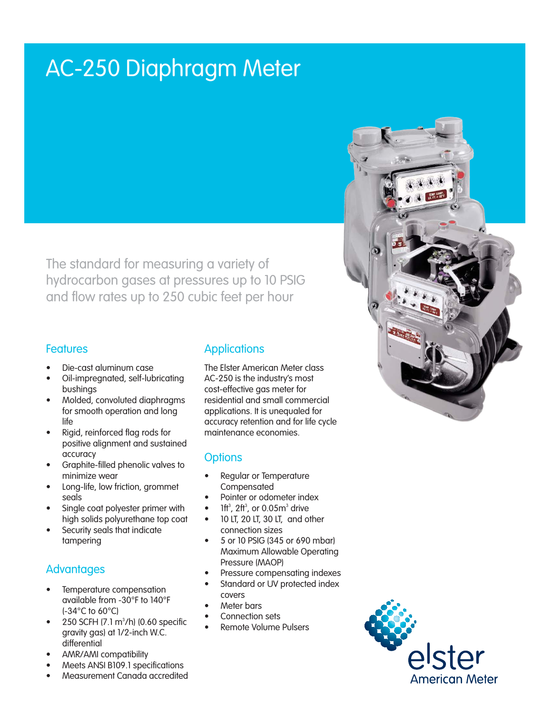# AC-250 Diaphragm Meter

The standard for measuring a variety of hydrocarbon gases at pressures up to 10 PSIG and flow rates up to 250 cubic feet per hour

#### Features

- Die-cast aluminum case
- Oil-impregnated, self-lubricating bushings
- Molded, convoluted diaphragms for smooth operation and long life
- Rigid, reinforced flag rods for positive alignment and sustained accuracy
- Graphite-filled phenolic valves to minimize wear
- Long-life, low friction, grommet seals
- Single coat polyester primer with high solids polyurethane top coat
- Security seals that indicate tampering

# Advantages

- Temperature compensation available from -30°F to 140°F (-34°C to 60°C)
- 250 SCFH (7.1 m<sup>3</sup>/h) (0.60 specific gravity gas) at 1/2-inch W.C. differential
- AMR/AMI compatibility

# Meets ANSI B109.1 specifications

Measurement Canada accredited

## **Applications**

The Elster American Meter class AC-250 is the industry's most cost-effective gas meter for residential and small commercial applications. It is unequaled for accuracy retention and for life cycle maintenance economies.

## **Options**

- Regular or Temperature **Compensated**
- Pointer or odometer index
- $\bullet$  1ft<sup>3</sup>, 2ft<sup>3</sup>, or 0.05m<sup>3</sup> drive
- • 10 LT, 20 LT, 30 LT, and other connection sizes
- 5 or 10 PSIG (345 or 690 mbar) Maximum Allowable Operating Pressure (MAOP)
- Pressure compensating indexes
- Standard or UV protected index covers
- Meter bars
- Connection sets
- **Remote Volume Pulsers**